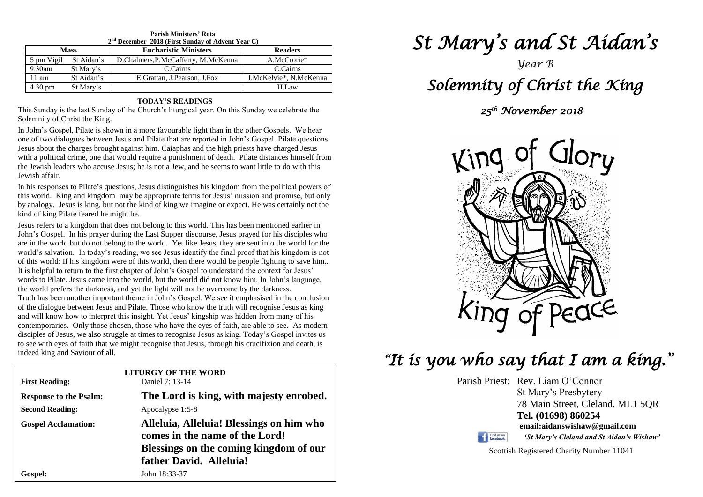| $2nd$ December 2018 (First Sunday of Advent Year C) |            |                                     |                        |  |
|-----------------------------------------------------|------------|-------------------------------------|------------------------|--|
| <b>Mass</b>                                         |            | <b>Eucharistic Ministers</b>        | <b>Readers</b>         |  |
| 5 pm Vigil                                          | St Aidan's | D.Chalmers, P.McCafferty, M.McKenna | A.McCrorie*            |  |
| $9.30$ am                                           | St Mary's  | C.Cairns                            | C.Cairns               |  |
| $11 \text{ am}$                                     | St Aidan's | E. Grattan, J. Pearson, J. Fox      | J.McKelvie*, N.McKenna |  |
| $4.30 \text{ pm}$                                   | St Mary's  |                                     | H.Law                  |  |

**Parish Ministers' Rota**

#### **TODAY'S READINGS**

This Sunday is the last Sunday of the Church's liturgical year. On this Sunday we celebrate the Solemnity of Christ the King.

In John's Gospel, Pilate is shown in a more favourable light than in the other Gospels. We hear one of two dialogues between Jesus and Pilate that are reported in John's Gospel. Pilate questions Jesus about the charges brought against him. Caiaphas and the high priests have charged Jesus with a political crime, one that would require a punishment of death. Pilate distances himself from the Jewish leaders who accuse Jesus; he is not a Jew, and he seems to want little to do with this Jewish affair.

In his responses to Pilate's questions, Jesus distinguishes his kingdom from the political powers of this world. King and kingdom may be appropriate terms for Jesus' mission and promise, but only by analogy. Jesus is king, but not the kind of king we imagine or expect. He was certainly not the kind of king Pilate feared he might be.

of this world: If his kingdom were of this world, then there would be people fighting to save him...<br>It is helpful to return to the first chapter of John's Gospel to understand the context for Jesus' the world prefers the darkness, and yet the light will not be overcome by the darkness.<br>Truth has been another important theme in John's Gospel. We see it emphasised in the and will know how to interpret this insight. Yet Jesus' kingship was hidden from many of his contemporaries. Only those chosen, those who have the eyes of faith, are able to see. As mod to see with eyes of faith that we might recognise that Jesus, through his crucifixion and death, is indeed king and Saviour of all. Jesus refers to a kingdom that does not belong to this world. This has been mentioned earlier in John's Gospel. In his prayer during the Last Supper discourse, Jesus prayed for his disciples who are in the world but do not belong to the world. Yet like Jesus, they are sent into the world for the world's salvation. In today's reading, we see Jesus identify the final proof that his kingdom is not It is helpful to return to the first chapter of John's Gospel to understand the context for Jesus' words to Pilate. Jesus came into the world, but the world did not know him. In John's language, Truth has been another important theme in John's Gospel. We see it emphasised in the conclusion of the dialogue between Jesus and Pilate. Those who know the truth will recognise Jesus as king contemporaries. Only those chosen, those who have the eyes of faith, are able to see. As modern disciples of Jesus, we also struggle at times to recognise Jesus as king. Today's Gospel invites us indeed king and Saviour of all.

| <b>First Reading:</b>         | <b>LITURGY OF THE WORD</b><br>Daniel 7: 13-14                                                                                                   |  |
|-------------------------------|-------------------------------------------------------------------------------------------------------------------------------------------------|--|
| <b>Response to the Psalm:</b> | The Lord is king, with majesty enrobed.                                                                                                         |  |
| <b>Second Reading:</b>        | Apocalypse 1:5-8                                                                                                                                |  |
| <b>Gospel Acclamation:</b>    | Alleluia, Alleluia! Blessings on him who<br>comes in the name of the Lord!<br>Blessings on the coming kingdom of our<br>father David. Alleluia! |  |
| <b>Gospel:</b>                | John 18:33-37                                                                                                                                   |  |

# *St Mary's and St Aidan's*

### *Year B*

### *Solemnity of Christ the King*

### *25th November 2018*



## *"It is you who say that I am a king."*

Parish Priest: Rev. Liam O'Connor St Mary's Presbytery 78 Main Street, Cleland. ML1 5QR **Tel. (01698) 860254 email:aidanswishaw@gmail.com** Find us on



Scottish Registered Charity Number 11041